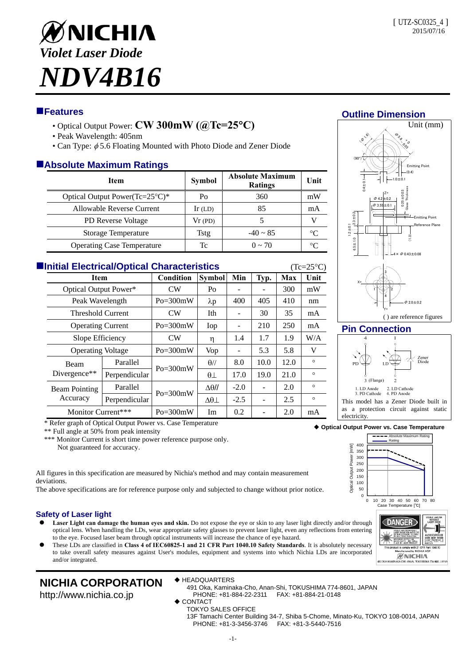

## **Features**

- Optical Output Power: **CW 300mW (@Tc=25C)**
- Peak Wavelength: 405nm
- Can Type:  $\phi$  5.6 Floating Mounted with Photo Diode and Zener Diode

## **Absolute Maximum Ratings**

| <b>Item</b>                               | <b>Symbol</b> | <b>Absolute Maximum</b><br><b>Ratings</b> | Unit           |  |  |  |  |  |
|-------------------------------------------|---------------|-------------------------------------------|----------------|--|--|--|--|--|
| Optical Output Power( $Tc=25^{\circ}C$ )* | Po            | 360                                       | mW             |  |  |  |  |  |
| Allowable Reverse Current                 | $Ir$ (LD)     | 85                                        | mA             |  |  |  |  |  |
| <b>PD Reverse Voltage</b>                 | $Vr$ (PD)     |                                           |                |  |  |  |  |  |
| Storage Temperature                       | Tstg          | $-40 \sim 85$                             | °∩             |  |  |  |  |  |
| <b>Operating Case Temperature</b>         | Tc            | $0 \sim 70$                               | $\circ$ $\cap$ |  |  |  |  |  |

| <b>Elnitial Electrical/Optical Characteristics</b><br>$(Tc=25\textdegree C)$ |                                      |               |              |                     |        |      |            |         |  |  |
|------------------------------------------------------------------------------|--------------------------------------|---------------|--------------|---------------------|--------|------|------------|---------|--|--|
|                                                                              | <b>Item</b><br>Optical Output Power* |               | Condition    | <b>Symbol</b>       | Min    | Typ. | <b>Max</b> | Unit    |  |  |
|                                                                              |                                      |               | CW           | Po                  |        |      | 300        | mW      |  |  |
|                                                                              | Peak Wavelength                      |               | $Po = 300mW$ | $\lambda p$         | 400    | 405  | 410        | nm      |  |  |
|                                                                              | Threshold Current                    |               | <b>CW</b>    | Ith                 |        | 30   | 35         | mA      |  |  |
|                                                                              | <b>Operating Current</b>             |               | $Po = 300mW$ | Iop                 |        | 210  | 250        | mA      |  |  |
|                                                                              | Slope Efficiency                     |               | CW           | η                   | 1.4    | 1.7  | 1.9        | W/A     |  |  |
|                                                                              | <b>Operating Voltage</b>             |               | $Po = 300mW$ | Vop                 |        | 5.3  | 5.8        | V       |  |  |
|                                                                              | Beam<br>Divergence <sup>**</sup>     | Parallel      | $Po = 300mW$ | $\theta$ //         | 8.0    | 10.0 | 12.0       | $\circ$ |  |  |
|                                                                              |                                      | Perpendicular |              | $\theta$            | 17.0   | 19.0 | 21.0       | $\circ$ |  |  |
|                                                                              | Beam Pointing<br>Accuracy            | Parallel      | $Po = 300mW$ | $\Delta\theta$ //   | $-2.0$ |      | 2.0        | $\circ$ |  |  |
|                                                                              |                                      | Perpendicular |              | $\Delta\theta\perp$ | $-2.5$ |      | 2.5        | $\circ$ |  |  |
|                                                                              | Monitor Current***                   |               | $Po = 300mW$ | Im                  | 0.2    |      | 2.0        | mA      |  |  |

\* Refer graph of Optical Output Power vs. Case Temperature

\*\* Full angle at 50% from peak intensity

\*\*\* Monitor Current is short time power reference purpose only. Not guaranteed for accuracy.

All figures in this specification are measured by Nichia's method and may contain measurement deviations.

The above specifications are for reference purpose only and subjected to change without prior notice.

### **Safety of Laser light**

- Laser Light can damage the human eyes and skin. Do not expose the eye or skin to any laser light directly and/or through optical lens. When handling the LDs, wear appropriate safety glasses to prevent laser light, even any reflections from entering to the eye. Focused laser beam through optical instruments will increase the chance of eye hazard.
- These LDs are classified in **Class 4 of IEC60825-1 and 21 CFR Part 1040.10 Safety Standards**. It is absolutely necessary to take overall safety measures against User's modules, equipment and systems into which Nichia LDs are incorporated and/or integrated.

# **NICHIA CORPORATION** http://www.nichia.co.jp

◆ HEADQUARTERS

491 Oka, Kaminaka-Cho, Anan-Shi, TOKUSHIMA 774-8601, JAPAN PHONE: +81-884-22-2311

- ← CONTACT
	- TOKYO SALES OFFICE

13F Tamachi Center Building 34-7, Shiba 5-Chome, Minato-Ku, TOKYO 108-0014, JAPAN PHONE: +81-3-3456-3746 FAX: +81-3-5440-7516





## **Pin Connection**



( ) are reference figures

as a protection circuit against static electricity

#### **Optical Output Power vs. Case Temperature**



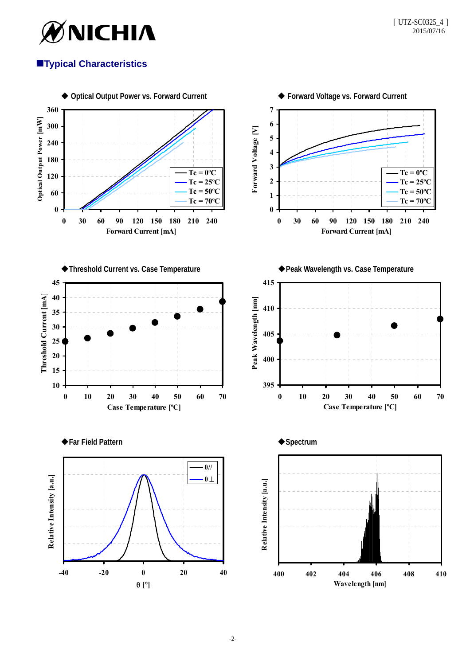

# **Typical Characteristics**